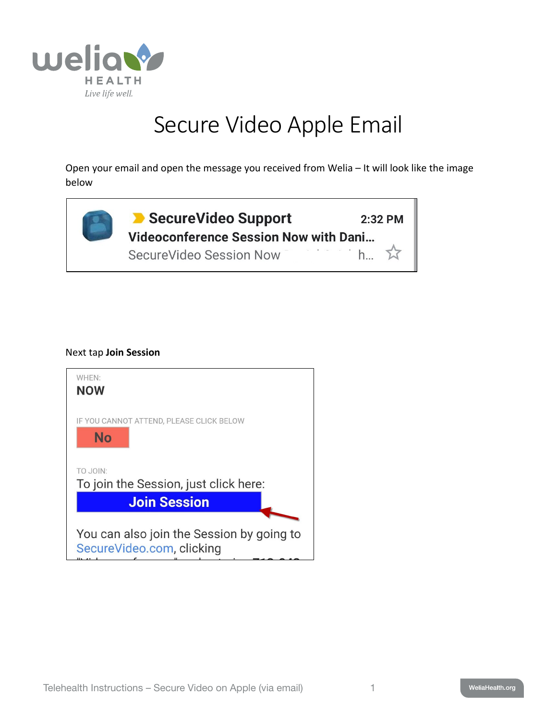

## Secure Video Apple Email

Open your email and open the message you received from Welia – It will look like the image below



## Next tap **Join Session**

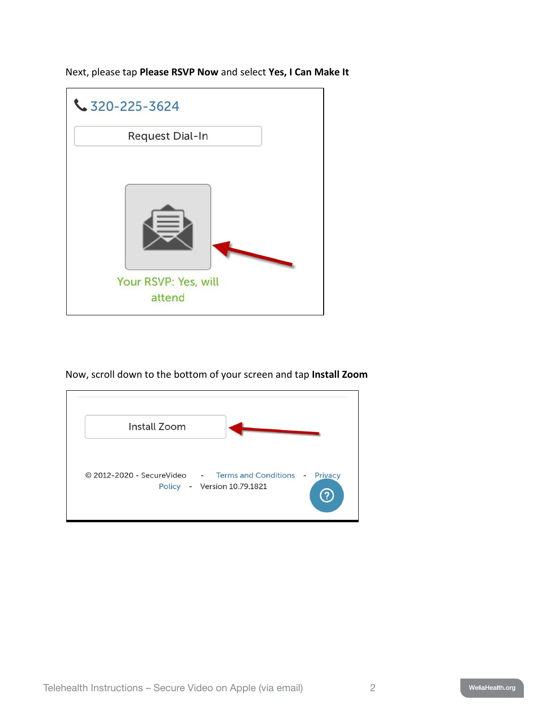Next, please tap **Please RSVP Now** and select **Yes, I Can Make It**



Now, scroll down to the bottom of your screen and tap **Install Zoom**

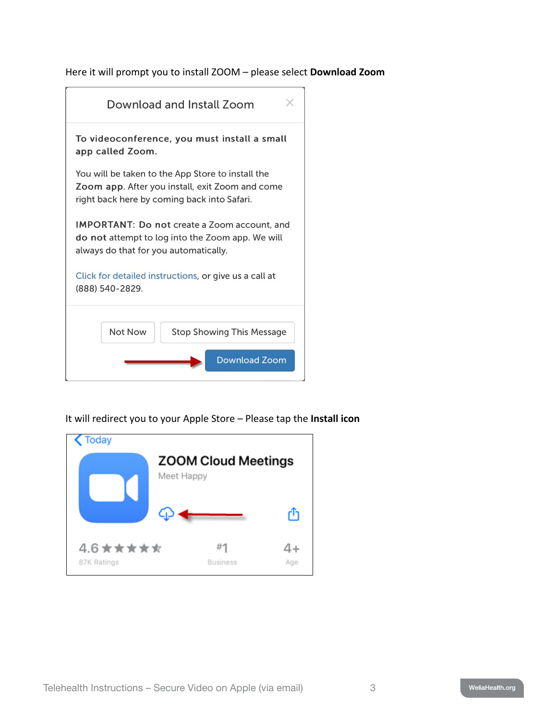Here it will prompt you to install ZOOM – please select **Download Zoom**



It will redirect you to your Apple Store – Please tap the **Install icon**

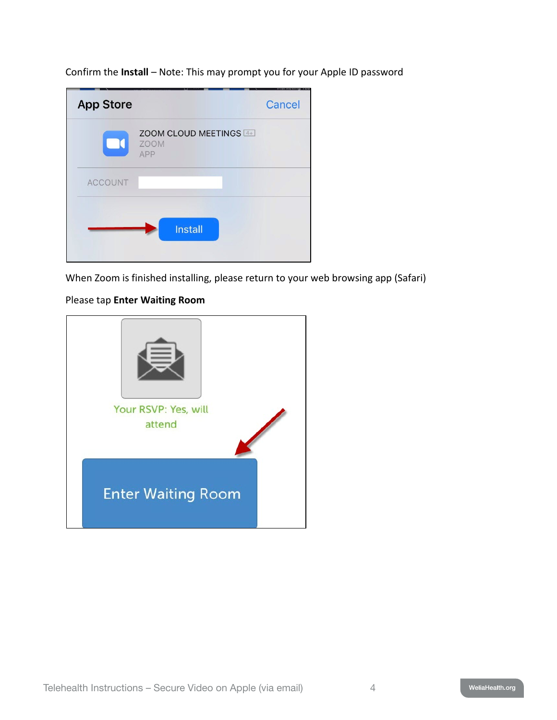Confirm the **Install** – Note: This may prompt you for your Apple ID password

| <b>App Store</b> |                                              | Cancel |
|------------------|----------------------------------------------|--------|
| $\Box$           | ZOOM CLOUD MEETINGS 4+<br><b>ZOOM</b><br>APP |        |
| <b>ACCOUNT</b>   |                                              |        |
|                  | <b>Install</b>                               |        |

When Zoom is finished installing, please return to your web browsing app (Safari)

## Please tap **Enter Waiting Room**

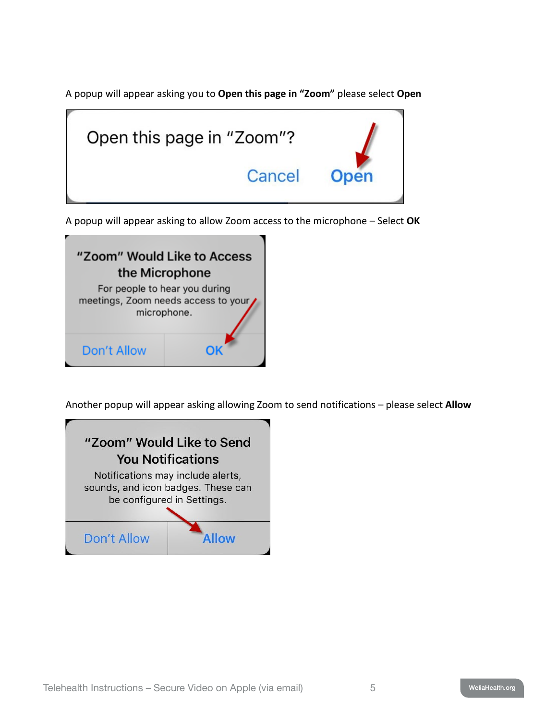A popup will appear asking you to **Open this page in "Zoom"** please select **Open**



A popup will appear asking to allow Zoom access to the microphone – Select **OK**



Another popup will appear asking allowing Zoom to send notifications – please select **Allow**